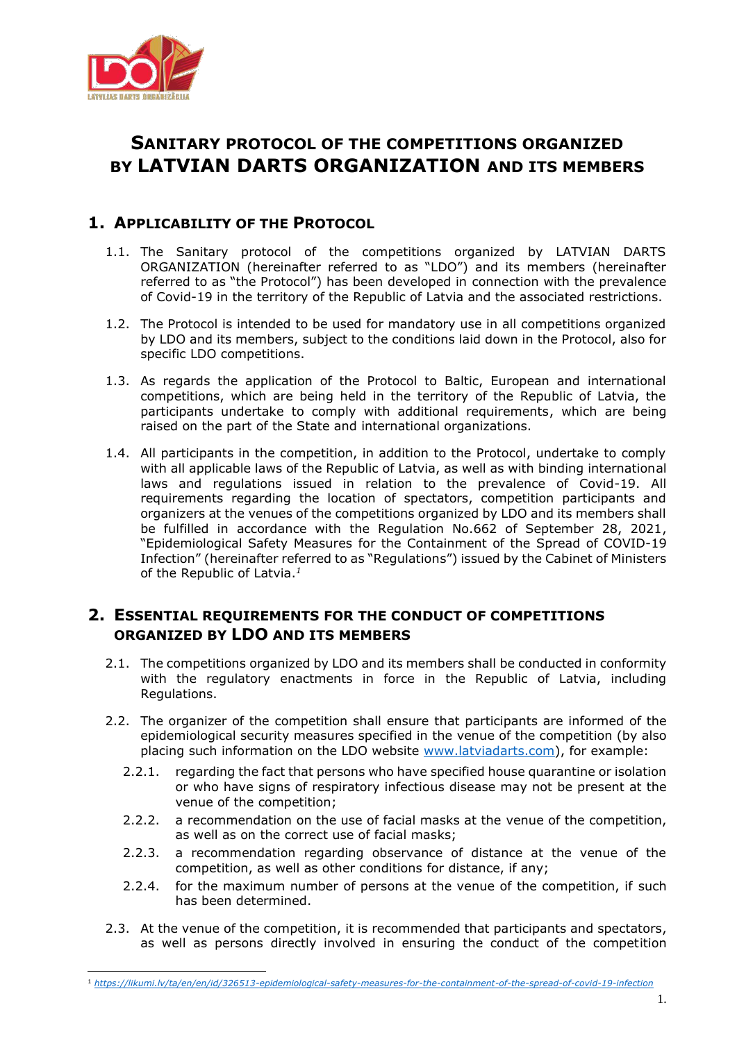

## **SANITARY PROTOCOL OF THE COMPETITIONS ORGANIZED BY LATVIAN DARTS ORGANIZATION AND ITS MEMBERS**

## **1. APPLICABILITY OF THE PROTOCOL**

- 1.1. The Sanitary protocol of the competitions organized by LATVIAN DARTS ORGANIZATION (hereinafter referred to as "LDO") and its members (hereinafter referred to as "the Protocol") has been developed in connection with the prevalence of Covid-19 in the territory of the Republic of Latvia and the associated restrictions.
- 1.2. The Protocol is intended to be used for mandatory use in all competitions organized by LDO and its members, subject to the conditions laid down in the Protocol, also for specific LDO competitions.
- 1.3. As regards the application of the Protocol to Baltic, European and international competitions, which are being held in the territory of the Republic of Latvia, the participants undertake to comply with additional requirements, which are being raised on the part of the State and international organizations.
- 1.4. All participants in the competition, in addition to the Protocol, undertake to comply with all applicable laws of the Republic of Latvia, as well as with binding international laws and regulations issued in relation to the prevalence of Covid-19. All requirements regarding the location of spectators, competition participants and organizers at the venues of the competitions organized by LDO and its members shall be fulfilled in accordance with the Regulation No.662 of September 28, 2021, "Epidemiological Safety Measures for the Containment of the Spread of COVID-19 Infection" (hereinafter referred to as "Regulations") issued by the Cabinet of Ministers of the Republic of Latvia.*<sup>1</sup>*

## **2. ESSENTIAL REQUIREMENTS FOR THE CONDUCT OF COMPETITIONS ORGANIZED BY LDO AND ITS MEMBERS**

- 2.1. The competitions organized by LDO and its members shall be conducted in conformity with the regulatory enactments in force in the Republic of Latvia, including Regulations.
- 2.2. The organizer of the competition shall ensure that participants are informed of the epidemiological security measures specified in the venue of the competition (by also placing such information on the LDO website [www.latviadarts.com\)](http://www.latviadarts.com/), for example:
	- 2.2.1. regarding the fact that persons who have specified house quarantine or isolation or who have signs of respiratory infectious disease may not be present at the venue of the competition;
	- 2.2.2. a recommendation on the use of facial masks at the venue of the competition, as well as on the correct use of facial masks;
	- 2.2.3. a recommendation regarding observance of distance at the venue of the competition, as well as other conditions for distance, if any;
	- 2.2.4. for the maximum number of persons at the venue of the competition, if such has been determined.
- 2.3. At the venue of the competition, it is recommended that participants and spectators, as well as persons directly involved in ensuring the conduct of the competition

<sup>1</sup> *<https://likumi.lv/ta/en/en/id/326513-epidemiological-safety-measures-for-the-containment-of-the-spread-of-covid-19-infection>*